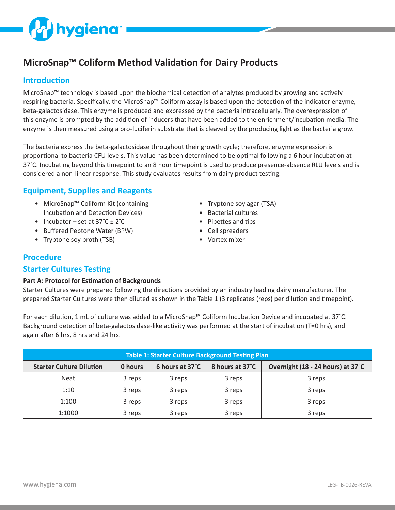

# **MicroSnap™ Coliform Method Validation for Dairy Products**

#### **Introduction**

MicroSnap™ technology is based upon the biochemical detection of analytes produced by growing and actively respiring bacteria. Specifically, the MicroSnap™ Coliform assay is based upon the detection of the indicator enzyme, beta-galactosidase. This enzyme is produced and expressed by the bacteria intracellularly. The overexpression of this enzyme is prompted by the addition of inducers that have been added to the enrichment/incubation media. The enzyme is then measured using a pro-luciferin substrate that is cleaved by the producing light as the bacteria grow.

The bacteria express the beta-galactosidase throughout their growth cycle; therefore, enzyme expression is proportional to bacteria CFU levels. This value has been determined to be optimal following a 6 hour incubation at 37˚C. Incubating beyond this timepoint to an 8 hour timepoint is used to produce presence-absence RLU levels and is considered a non-linear response. This study evaluates results from dairy product testing.

## **Equipment, Supplies and Reagents**

- MicroSnap™ Coliform Kit (containing Incubation and Detection Devices)
- Incubator set at  $37^{\circ}$ C +  $2^{\circ}$ C
- Buffered Peptone Water (BPW)
- Tryptone soy broth (TSB)
- Tryptone soy agar (TSA)
- Bacterial cultures
- Pipettes and tips
- Cell spreaders
- Vortex mixer

### **Procedure**

#### **Starter Cultures Testing**

#### **Part A: Protocol for Estimation of Backgrounds**

Starter Cultures were prepared following the directions provided by an industry leading dairy manufacturer. The prepared Starter Cultures were then diluted as shown in the Table 1 (3 replicates (reps) per dilution and timepoint).

For each dilution, 1 mL of culture was added to a MicroSnap™ Coliform Incubation Device and incubated at 37˚C. Background detection of beta-galactosidase-like activity was performed at the start of incubation (T=0 hrs), and again after 6 hrs, 8 hrs and 24 hrs.

| <b>Table 1: Starter Culture Background Testing Plan</b> |         |                 |                 |                                   |  |  |  |  |  |  |
|---------------------------------------------------------|---------|-----------------|-----------------|-----------------------------------|--|--|--|--|--|--|
| <b>Starter Culture Dilution</b>                         | 0 hours | 6 hours at 37°C | 8 hours at 37°C | Overnight (18 - 24 hours) at 37°C |  |  |  |  |  |  |
| <b>Neat</b>                                             | 3 reps  | 3 reps          | 3 reps          | 3 reps                            |  |  |  |  |  |  |
| 1:10                                                    | 3 reps  | 3 reps          | 3 reps          | 3 reps                            |  |  |  |  |  |  |
| 1:100                                                   | 3 reps  | 3 reps          | 3 reps          | 3 reps                            |  |  |  |  |  |  |
| 1:1000                                                  | 3 reps  | 3 reps          | 3 reps          | 3 reps                            |  |  |  |  |  |  |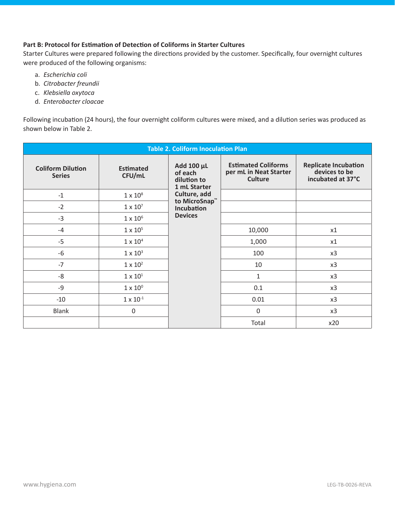#### **Part B: Protocol for Estimation of Detection of Coliforms in Starter Cultures**

Starter Cultures were prepared following the directions provided by the customer. Specifically, four overnight cultures were produced of the following organisms:

- a. *Escherichia coli*
- b. *Citrobacter freundii*
- c. *Klebsiella oxytoca*
- d. *Enterobacter cloacae*

Following incubation (24 hours), the four overnight coliform cultures were mixed, and a dilution series was produced as shown below in Table 2.

|                                           |                            | <b>Table 2. Coliform Inoculation Plan</b>            |                                                                        |                                                                   |
|-------------------------------------------|----------------------------|------------------------------------------------------|------------------------------------------------------------------------|-------------------------------------------------------------------|
| <b>Coliform Dilution</b><br><b>Series</b> | <b>Estimated</b><br>CFU/mL | Add 100 µL<br>of each<br>dilution to<br>1 mL Starter | <b>Estimated Coliforms</b><br>per mL in Neat Starter<br><b>Culture</b> | <b>Replicate Incubation</b><br>devices to be<br>incubated at 37°C |
| $-1$                                      | $1 \times 10^8$            | Culture, add                                         |                                                                        |                                                                   |
| $-2$                                      | $1 \times 10^7$            | to MicroSnap <sup>™</sup><br><b>Incubation</b>       |                                                                        |                                                                   |
| $-3$                                      | $1 \times 10^6$            | <b>Devices</b>                                       |                                                                        |                                                                   |
| $-4$                                      | $1 \times 10^5$            |                                                      | 10,000                                                                 | x1                                                                |
| $-5$                                      | $1 \times 10^4$            |                                                      | 1,000                                                                  | x1                                                                |
| $-6$                                      | $1 \times 10^3$            |                                                      | 100                                                                    | x3                                                                |
| $-7$                                      | $1 \times 10^2$            |                                                      | 10                                                                     | x3                                                                |
| -8                                        | $1 \times 10^1$            |                                                      | $\mathbf{1}$                                                           | x3                                                                |
| $-9$                                      | $1 \times 10^{0}$          |                                                      | 0.1                                                                    | x3                                                                |
| $-10$                                     | $1 \times 10^{-1}$         |                                                      | 0.01                                                                   | x3                                                                |
| <b>Blank</b>                              | $\boldsymbol{0}$           |                                                      | $\mathbf 0$                                                            | x3                                                                |
|                                           |                            |                                                      | Total                                                                  | x20                                                               |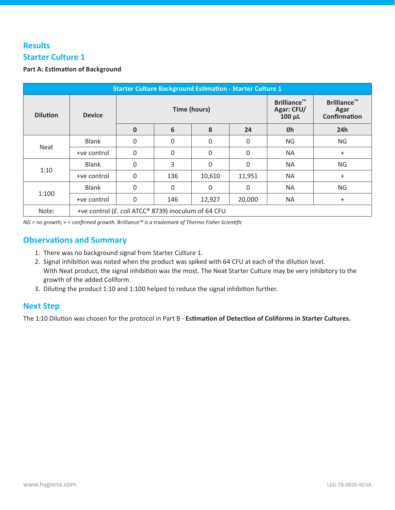## **Results Starter Culture 1**

#### **Part A: Estimation of Background**

| <b>Starter Culture Background Estimation - Starter Culture 1</b> |                                                     |                     |     |          |          |                                                 |                                                   |  |  |  |
|------------------------------------------------------------------|-----------------------------------------------------|---------------------|-----|----------|----------|-------------------------------------------------|---------------------------------------------------|--|--|--|
| <b>Dilution</b>                                                  | <b>Device</b>                                       | <b>Time (hours)</b> |     |          |          | <b>Brilliance™</b><br>Agar: CFU/<br>$100 \mu L$ | <b>Brilliance™</b><br>Agar<br><b>Confirmation</b> |  |  |  |
|                                                                  |                                                     | $\mathbf{0}$        | 6   | 8        | 24       | 0h                                              | 24h                                               |  |  |  |
|                                                                  | <b>Blank</b>                                        | 0                   | 0   | 0        | 0        | <b>NG</b>                                       | <b>NG</b>                                         |  |  |  |
| <b>Neat</b>                                                      | +ve control                                         | 0                   | 0   | 0        | 0        | <b>NA</b>                                       | $\ddot{}$                                         |  |  |  |
|                                                                  | <b>Blank</b>                                        | $\Omega$            | 3   | $\Omega$ | $\Omega$ | <b>NA</b>                                       | <b>NG</b>                                         |  |  |  |
| 1:10                                                             | +ve control                                         | 0                   | 136 | 10,610   | 11,951   | <b>NA</b>                                       | $\ddot{}$                                         |  |  |  |
|                                                                  | <b>Blank</b>                                        | 0                   | 0   | $\Omega$ | 0        | <b>NA</b>                                       | <b>NG</b>                                         |  |  |  |
| 1:100                                                            | +ve control                                         | 0                   | 146 | 12,927   | 20,000   | <b>NA</b>                                       | $\ddot{}$                                         |  |  |  |
| Note:                                                            | +ve control (E. coli ATCC® 8739) inoculum of 64 CFU |                     |     |          |          |                                                 |                                                   |  |  |  |

*NG = no growth; + = confirmed growth. Brilliance™ is a trademark of Thermo Fisher Scientific*

### **Observations and Summary**

- 1. There was no background signal from Starter Culture 1.
- 2. Signal inhibition was noted when the product was spiked with 64 CFU at each of the dilution level. With Neat product, the signal inhibition was the most. The Neat Starter Culture may be very inhibitory to the growth of the added Coliform.
- 3. Diluting the product 1:10 and 1:100 helped to reduce the signal inhibition further.

## **Next Step**

The 1:10 Dilution was chosen for the protocol in Part B - **Estimation of Detection of Coliforms in Starter Cultures.**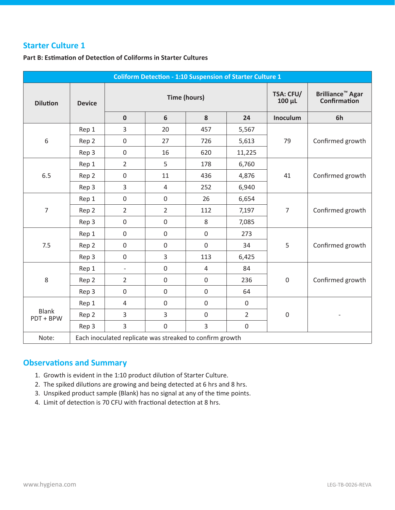**Part B: Estimation of Detection of Coliforms in Starter Cultures**

|                           |               |                                                          | <b>Coliform Detection - 1:10 Suspension of Starter Culture 1</b> |                          |                                                    |                  |                  |
|---------------------------|---------------|----------------------------------------------------------|------------------------------------------------------------------|--------------------------|----------------------------------------------------|------------------|------------------|
| <b>Dilution</b>           | <b>Device</b> |                                                          | <b>Time (hours)</b>                                              | TSA: CFU/<br>$100 \mu L$ | <b>Brilliance<sup>™</sup> Agar</b><br>Confirmation |                  |                  |
|                           |               | $\mathbf 0$                                              | 6                                                                | 8                        | 24                                                 | Inoculum         | 6h               |
|                           | Rep 1         | 3                                                        | 20                                                               | 457                      | 5,567                                              |                  |                  |
| 6                         | Rep 2         | $\mathbf 0$                                              | 27                                                               | 726                      | 5,613                                              | 79               | Confirmed growth |
|                           | Rep 3         | $\boldsymbol{0}$                                         | 16                                                               | 620                      | 11,225                                             |                  |                  |
|                           | Rep 1         | $\overline{2}$                                           | 5                                                                | 178                      | 6,760                                              |                  | Confirmed growth |
| 6.5                       | Rep 2         | $\mathbf 0$                                              | 11                                                               | 436                      | 4,876                                              | 41               |                  |
|                           | Rep 3         | 3                                                        | 4                                                                | 252                      | 6,940                                              |                  |                  |
|                           | Rep 1         | $\boldsymbol{0}$                                         | $\boldsymbol{0}$                                                 | 26                       | 6,654                                              |                  |                  |
| $\overline{7}$            | Rep 2         | $\overline{2}$                                           | $\overline{2}$                                                   | 112                      | 7,197                                              | $\overline{7}$   | Confirmed growth |
|                           | Rep 3         | $\boldsymbol{0}$                                         | $\boldsymbol{0}$                                                 | 8                        | 7,085                                              |                  |                  |
|                           | Rep 1         | $\boldsymbol{0}$                                         | $\boldsymbol{0}$                                                 | $\boldsymbol{0}$         | 273                                                |                  |                  |
| 7.5                       | Rep 2         | $\boldsymbol{0}$                                         | $\boldsymbol{0}$                                                 | $\mathbf 0$              | 34                                                 | 5                | Confirmed growth |
|                           | Rep 3         | $\boldsymbol{0}$                                         | $\overline{3}$                                                   | 113                      | 6,425                                              |                  |                  |
|                           | Rep 1         | $\overline{\phantom{0}}$                                 | $\mathbf 0$                                                      | 4                        | 84                                                 |                  |                  |
| $\,8$                     | Rep 2         | $\overline{2}$                                           | $\boldsymbol{0}$                                                 | $\boldsymbol{0}$         | 236                                                | $\boldsymbol{0}$ | Confirmed growth |
|                           | Rep 3         | $\mathbf 0$                                              | $\boldsymbol{0}$                                                 | $\boldsymbol{0}$         | 64                                                 |                  |                  |
|                           | Rep 1         | $\sqrt{4}$                                               | $\boldsymbol{0}$                                                 | $\boldsymbol{0}$         | $\boldsymbol{0}$                                   |                  |                  |
| <b>Blank</b><br>PDT + BPW | Rep 2         | 3                                                        | 3                                                                | $\boldsymbol{0}$         | $\overline{2}$                                     | $\mathbf 0$      |                  |
|                           | Rep 3         | 3                                                        | $\boldsymbol{0}$                                                 | 3                        | $\boldsymbol{0}$                                   |                  |                  |
| Note:                     |               | Each inoculated replicate was streaked to confirm growth |                                                                  |                          |                                                    |                  |                  |

- 1. Growth is evident in the 1:10 product dilution of Starter Culture.
- 2. The spiked dilutions are growing and being detected at 6 hrs and 8 hrs.
- 3. Unspiked product sample (Blank) has no signal at any of the time points.
- 4. Limit of detection is 70 CFU with fractional detection at 8 hrs.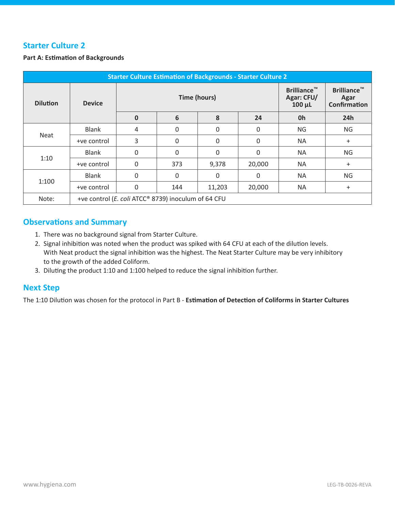#### **Part A: Estimation of Backgrounds**

|                 | <b>Starter Culture Estimation of Backgrounds - Starter Culture 2</b> |                                                     |                     |                                                 |                                                   |           |           |  |  |  |  |
|-----------------|----------------------------------------------------------------------|-----------------------------------------------------|---------------------|-------------------------------------------------|---------------------------------------------------|-----------|-----------|--|--|--|--|
| <b>Dilution</b> | <b>Device</b>                                                        |                                                     | <b>Time (hours)</b> | <b>Brilliance™</b><br>Agar: CFU/<br>$100 \mu L$ | <b>Brilliance™</b><br>Agar<br><b>Confirmation</b> |           |           |  |  |  |  |
|                 |                                                                      | $\mathbf 0$                                         | 6                   | 8                                               | 24                                                | 0h        | 24h       |  |  |  |  |
|                 | <b>Blank</b>                                                         | 4                                                   | 0                   | $\Omega$                                        | 0                                                 | <b>NG</b> | <b>NG</b> |  |  |  |  |
| Neat            | +ve control                                                          | 3                                                   | $\Omega$            | $\Omega$                                        | 0                                                 | <b>NA</b> | $+$       |  |  |  |  |
|                 | <b>Blank</b>                                                         | 0                                                   | $\Omega$            | $\Omega$                                        | 0                                                 | <b>NA</b> | <b>NG</b> |  |  |  |  |
| 1:10            | +ve control                                                          | $\mathbf 0$                                         | 373                 | 9,378                                           | 20,000                                            | <b>NA</b> | $+$       |  |  |  |  |
|                 | <b>Blank</b>                                                         | $\mathbf 0$                                         | $\Omega$            | $\Omega$                                        | $\Omega$                                          | <b>NA</b> | <b>NG</b> |  |  |  |  |
| 1:100           | +ve control                                                          | 0                                                   | 144                 | 11,203                                          | 20,000                                            | <b>NA</b> | $\ddot{}$ |  |  |  |  |
| Note:           |                                                                      | +ve control (E. coli ATCC® 8739) inoculum of 64 CFU |                     |                                                 |                                                   |           |           |  |  |  |  |

#### **Observations and Summary**

- 1. There was no background signal from Starter Culture.
- 2. Signal inhibition was noted when the product was spiked with 64 CFU at each of the dilution levels. With Neat product the signal inhibition was the highest. The Neat Starter Culture may be very inhibitory to the growth of the added Coliform.
- 3. Diluting the product 1:10 and 1:100 helped to reduce the signal inhibition further.

#### **Next Step**

The 1:10 Dilution was chosen for the protocol in Part B - **Estimation of Detection of Coliforms in Starter Cultures**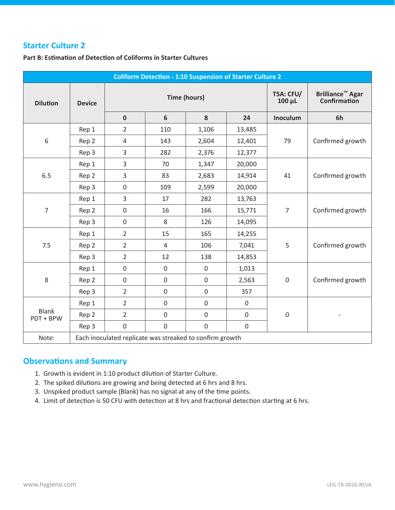#### **Part B: Estimation of Detection of Coliforms in Starter Cultures**

|                           |               |                                                          |                     | <b>Coliform Detection - 1:10 Suspension of Starter Culture 2</b> |                                                    |                  |                  |
|---------------------------|---------------|----------------------------------------------------------|---------------------|------------------------------------------------------------------|----------------------------------------------------|------------------|------------------|
| <b>Dilution</b>           | <b>Device</b> |                                                          | <b>Time (hours)</b> | TSA: CFU/<br>$100 \mu L$                                         | <b>Brilliance<sup>™</sup> Agar</b><br>Confirmation |                  |                  |
|                           |               | $\mathbf 0$                                              | $6\phantom{1}$      | 8                                                                | 24                                                 | Inoculum         | 6h               |
|                           | Rep 1         | $\overline{2}$                                           | 110                 | 1,106                                                            | 13,485                                             |                  |                  |
| 6                         | Rep 2         | 4                                                        | 143                 | 2,604                                                            | 12,401                                             | 79               | Confirmed growth |
|                           | Rep 3         | 3                                                        | 282                 | 2,376                                                            | 12,377                                             |                  |                  |
|                           | Rep 1         | 3                                                        | 70                  | 1,347                                                            | 20,000                                             |                  | Confirmed growth |
| 6.5                       | Rep 2         | 3                                                        | 83                  | 2,683                                                            | 14,914                                             | 41               |                  |
|                           | Rep 3         | $\boldsymbol{0}$                                         | 109                 | 2,599                                                            | 20,000                                             |                  |                  |
|                           | Rep 1         | 3                                                        | 17                  | 282                                                              | 13,763                                             |                  |                  |
| 7                         | Rep 2         | $\mathbf 0$                                              | 16                  | 166                                                              | 15,771                                             | $\overline{7}$   | Confirmed growth |
|                           | Rep 3         | $\boldsymbol{0}$                                         | 8                   | 126                                                              | 14,095                                             |                  |                  |
|                           | Rep 1         | $\overline{2}$                                           | 15                  | 165                                                              | 14,255                                             |                  |                  |
| 7.5                       | Rep 2         | $\overline{2}$                                           | $\overline{4}$      | 106                                                              | 7,041                                              | 5                | Confirmed growth |
|                           | Rep 3         | $\overline{2}$                                           | 12                  | 138                                                              | 14,853                                             |                  |                  |
|                           | Rep 1         | $\mathbf 0$                                              | $\mathbf 0$         | $\mathbf 0$                                                      | 1,013                                              |                  |                  |
| 8                         | Rep 2         | $\boldsymbol{0}$                                         | $\boldsymbol{0}$    | $\boldsymbol{0}$                                                 | 2,563                                              | $\boldsymbol{0}$ | Confirmed growth |
|                           | Rep 3         | $\overline{2}$                                           | $\mathbf 0$         | $\mathbf 0$                                                      | 357                                                |                  |                  |
|                           | Rep 1         | $\overline{2}$                                           | $\boldsymbol{0}$    | $\boldsymbol{0}$                                                 | $\boldsymbol{0}$                                   |                  |                  |
| <b>Blank</b><br>PDT + BPW | Rep 2         | $\overline{2}$                                           | $\mathbf 0$         | $\mathbf 0$                                                      | $\boldsymbol{0}$                                   | $\mathbf 0$      |                  |
|                           | Rep 3         | $\boldsymbol{0}$                                         | $\boldsymbol{0}$    | $\boldsymbol{0}$                                                 | $\mathbf 0$                                        |                  |                  |
| Note:                     |               | Each inoculated replicate was streaked to confirm growth |                     |                                                                  |                                                    |                  |                  |

- 1. Growth is evident in 1:10 product dilution of Starter Culture.
- 2. The spiked dilutions are growing and being detected at 6 hrs and 8 hrs.
- 3. Unspiked product sample (Blank) has no signal at any of the time points.
- 4. Limit of detection is 50 CFU with detection at 8 hrs and fractional detection starting at 6 hrs.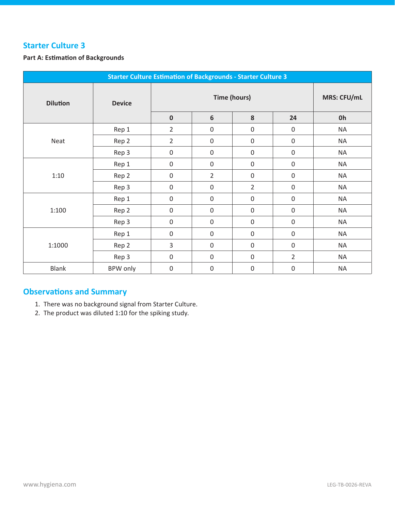#### **Part A: Estimation of Backgrounds**

|                 | <b>Starter Culture Estimation of Backgrounds - Starter Culture 3</b> |                  |                     |                  |                  |           |  |
|-----------------|----------------------------------------------------------------------|------------------|---------------------|------------------|------------------|-----------|--|
| <b>Dilution</b> | <b>Device</b>                                                        |                  | <b>Time (hours)</b> |                  |                  |           |  |
|                 |                                                                      | $\pmb{0}$        | $6\phantom{1}6$     | $\pmb{8}$        | 24               | <b>Oh</b> |  |
|                 | Rep 1                                                                | $\overline{2}$   | $\mathbf 0$         | $\mathbf 0$      | $\boldsymbol{0}$ | <b>NA</b> |  |
| Neat            | Rep 2                                                                | $\overline{2}$   | $\boldsymbol{0}$    | $\boldsymbol{0}$ | $\boldsymbol{0}$ | <b>NA</b> |  |
|                 | Rep 3                                                                | $\boldsymbol{0}$ | $\boldsymbol{0}$    | $\boldsymbol{0}$ | $\boldsymbol{0}$ | <b>NA</b> |  |
|                 | Rep 1                                                                | $\boldsymbol{0}$ | $\boldsymbol{0}$    | $\boldsymbol{0}$ | $\boldsymbol{0}$ | <b>NA</b> |  |
| 1:10            | Rep 2                                                                | $\boldsymbol{0}$ | $\overline{2}$      | $\boldsymbol{0}$ | $\boldsymbol{0}$ | <b>NA</b> |  |
|                 | Rep 3                                                                | $\mathbf 0$      | $\mathbf 0$         | $\overline{2}$   | $\mathbf 0$      | <b>NA</b> |  |
|                 | Rep 1                                                                | $\mathbf 0$      | $\boldsymbol{0}$    | $\mathbf 0$      | $\mathbf 0$      | <b>NA</b> |  |
| 1:100           | Rep 2                                                                | $\boldsymbol{0}$ | $\boldsymbol{0}$    | $\mathbf 0$      | $\boldsymbol{0}$ | <b>NA</b> |  |
|                 | Rep 3                                                                | $\boldsymbol{0}$ | $\boldsymbol{0}$    | $\boldsymbol{0}$ | $\boldsymbol{0}$ | <b>NA</b> |  |
|                 | Rep 1                                                                | $\boldsymbol{0}$ | $\mathbf 0$         | $\boldsymbol{0}$ | $\boldsymbol{0}$ | <b>NA</b> |  |
| 1:1000          | Rep 2                                                                | 3                | $\mathbf 0$         | $\boldsymbol{0}$ | $\boldsymbol{0}$ | <b>NA</b> |  |
|                 | Rep 3                                                                | $\boldsymbol{0}$ | $\boldsymbol{0}$    | $\boldsymbol{0}$ | $\overline{2}$   | <b>NA</b> |  |
| <b>Blank</b>    | BPW only                                                             | $\mathbf 0$      | $\mathbf 0$         | $\mathbf 0$      | $\boldsymbol{0}$ | <b>NA</b> |  |

- 1. There was no background signal from Starter Culture.
- 2. The product was diluted 1:10 for the spiking study.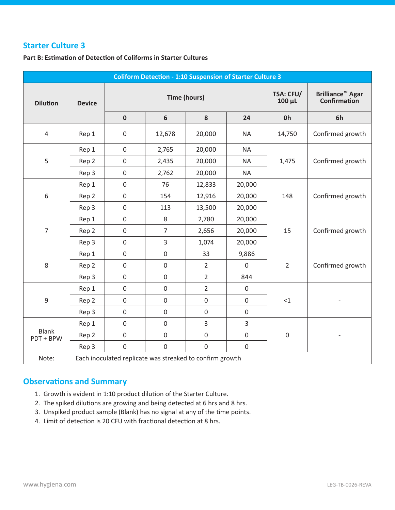#### **Part B: Estimation of Detection of Coliforms in Starter Cultures**

|                           |               |                  |                     | <b>Coliform Detection - 1:10 Suspension of Starter Culture 3</b> |                                         |                  |                  |
|---------------------------|---------------|------------------|---------------------|------------------------------------------------------------------|-----------------------------------------|------------------|------------------|
| <b>Dilution</b>           | <b>Device</b> |                  | <b>Time (hours)</b> | <b>TSA: CFU/</b><br>$100 \mu L$                                  | <b>Brilliance™ Agar</b><br>Confirmation |                  |                  |
|                           |               | $\pmb{0}$        | $\boldsymbol{6}$    | 8                                                                | 24                                      | Oh               | 6h               |
| $\sqrt{4}$                | Rep 1         | $\boldsymbol{0}$ | 12,678              | 20,000                                                           | <b>NA</b>                               | 14,750           | Confirmed growth |
|                           | Rep 1         | $\boldsymbol{0}$ | 2,765               | 20,000                                                           | <b>NA</b>                               |                  |                  |
| 5                         | Rep 2         | $\boldsymbol{0}$ | 2,435               | 20,000                                                           | <b>NA</b>                               | 1,475            | Confirmed growth |
|                           | Rep 3         | $\boldsymbol{0}$ | 2,762               | 20,000                                                           | <b>NA</b>                               |                  |                  |
|                           | Rep 1         | $\mathbf 0$      | 76                  | 12,833                                                           | 20,000                                  |                  |                  |
| 6                         | Rep 2         | $\boldsymbol{0}$ | 154                 | 12,916                                                           | 20,000                                  | 148              | Confirmed growth |
|                           | Rep 3         | $\boldsymbol{0}$ | 113                 | 13,500                                                           | 20,000                                  |                  |                  |
|                           | Rep 1         | $\boldsymbol{0}$ | $\,8\,$             | 2,780                                                            | 20,000                                  |                  | Confirmed growth |
| $\overline{7}$            | Rep 2         | $\boldsymbol{0}$ | $\overline{7}$      | 2,656                                                            | 20,000                                  | 15               |                  |
|                           | Rep 3         | $\boldsymbol{0}$ | $\overline{3}$      | 1,074                                                            | 20,000                                  |                  |                  |
|                           | Rep 1         | $\boldsymbol{0}$ | $\boldsymbol{0}$    | 33                                                               | 9,886                                   |                  |                  |
| 8                         | Rep 2         | $\boldsymbol{0}$ | $\boldsymbol{0}$    | $\overline{2}$                                                   | $\boldsymbol{0}$                        | $\overline{2}$   | Confirmed growth |
|                           | Rep 3         | $\boldsymbol{0}$ | $\boldsymbol{0}$    | $\overline{2}$                                                   | 844                                     |                  |                  |
|                           | Rep 1         | $\boldsymbol{0}$ | $\boldsymbol{0}$    | $\overline{2}$                                                   | $\boldsymbol{0}$                        |                  |                  |
| 9                         | Rep 2         | $\mathbf 0$      | $\mathbf 0$         | $\mathbf 0$                                                      | $\boldsymbol{0}$                        | <1               |                  |
|                           | Rep 3         | $\boldsymbol{0}$ | $\boldsymbol{0}$    | $\boldsymbol{0}$                                                 | $\boldsymbol{0}$                        |                  |                  |
|                           | Rep 1         | $\boldsymbol{0}$ | $\boldsymbol{0}$    | $\overline{3}$                                                   | 3                                       |                  |                  |
| <b>Blank</b><br>PDT + BPW | Rep 2         | $\boldsymbol{0}$ | $\boldsymbol{0}$    | $\boldsymbol{0}$                                                 | $\boldsymbol{0}$                        | $\boldsymbol{0}$ |                  |
|                           | Rep 3         | $\boldsymbol{0}$ | $\boldsymbol{0}$    | $\boldsymbol{0}$                                                 | $\boldsymbol{0}$                        |                  |                  |
| Note:                     |               |                  |                     | Each inoculated replicate was streaked to confirm growth         |                                         |                  |                  |

- 1. Growth is evident in 1:10 product dilution of the Starter Culture.
- 2. The spiked dilutions are growing and being detected at 6 hrs and 8 hrs.
- 3. Unspiked product sample (Blank) has no signal at any of the time points.
- 4. Limit of detection is 20 CFU with fractional detection at 8 hrs.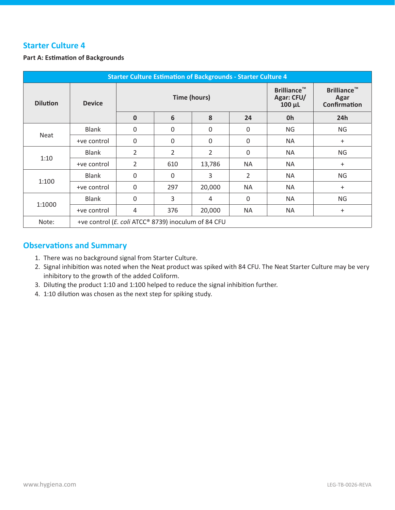#### **Part A: Estimation of Backgrounds**

| <b>Starter Culture Estimation of Backgrounds - Starter Culture 4</b> |                                                     |                |          |          |                |                                                 |                                                   |  |  |  |
|----------------------------------------------------------------------|-----------------------------------------------------|----------------|----------|----------|----------------|-------------------------------------------------|---------------------------------------------------|--|--|--|
| <b>Dilution</b>                                                      | <b>Device</b>                                       | Time (hours)   |          |          |                | <b>Brilliance™</b><br>Agar: CFU/<br>$100 \mu L$ | <b>Brilliance™</b><br>Agar<br><b>Confirmation</b> |  |  |  |
|                                                                      |                                                     | $\mathbf{0}$   | 6        | 8        | 24             | 0h                                              | 24h                                               |  |  |  |
|                                                                      | <b>Blank</b>                                        | $\mathbf 0$    | $\Omega$ | $\Omega$ | 0              | <b>NG</b>                                       | <b>NG</b>                                         |  |  |  |
| Neat                                                                 | +ve control                                         | $\Omega$       | $\Omega$ | $\Omega$ | 0              | <b>NA</b>                                       | $\ddot{}$                                         |  |  |  |
|                                                                      | <b>Blank</b>                                        | 2              | 2        | 2        | 0              | <b>NA</b>                                       | <b>NG</b>                                         |  |  |  |
| 1:10                                                                 | +ve control                                         | $\overline{2}$ | 610      | 13,786   | <b>NA</b>      | <b>NA</b>                                       | $\ddot{}$                                         |  |  |  |
| 1:100                                                                | <b>Blank</b>                                        | $\Omega$       | $\Omega$ | 3        | $\overline{2}$ | <b>NA</b>                                       | <b>NG</b>                                         |  |  |  |
|                                                                      | +ve control                                         | $\Omega$       | 297      | 20,000   | <b>NA</b>      | <b>NA</b>                                       | $\ddot{}$                                         |  |  |  |
|                                                                      | <b>Blank</b>                                        | $\Omega$       | 3        | 4        | 0              | <b>NA</b>                                       | <b>NG</b>                                         |  |  |  |
| 1:1000                                                               | +ve control                                         | 4              | 376      | 20,000   | <b>NA</b>      | <b>NA</b>                                       | $\ddot{}$                                         |  |  |  |
| Note:                                                                | +ve control (E. coli ATCC® 8739) inoculum of 84 CFU |                |          |          |                |                                                 |                                                   |  |  |  |

- 1. There was no background signal from Starter Culture.
- 2. Signal inhibition was noted when the Neat product was spiked with 84 CFU. The Neat Starter Culture may be very inhibitory to the growth of the added Coliform.
- 3. Diluting the product 1:10 and 1:100 helped to reduce the signal inhibition further.
- 4. 1:10 dilution was chosen as the next step for spiking study.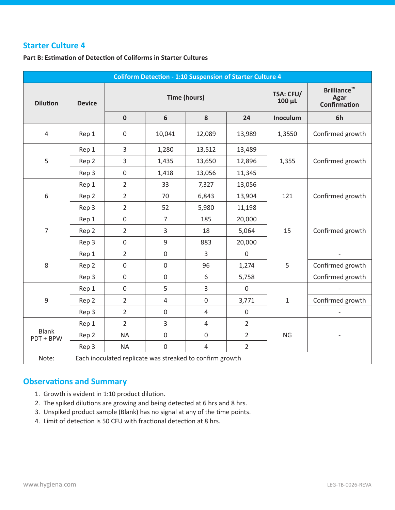#### **Part B: Estimation of Detection of Coliforms in Starter Cultures**

|                           |               |                                                          | <b>Coliform Detection - 1:10 Suspension of Starter Culture 4</b> |                            |                                                   |              |                  |
|---------------------------|---------------|----------------------------------------------------------|------------------------------------------------------------------|----------------------------|---------------------------------------------------|--------------|------------------|
| <b>Dilution</b>           | <b>Device</b> |                                                          | <b>Time (hours)</b>                                              | <b>TSA: CFU/</b><br>100 µL | <b>Brilliance™</b><br><b>Agar</b><br>Confirmation |              |                  |
|                           |               | $\pmb{0}$                                                | $6\phantom{1}6$                                                  | ${\bf 8}$                  | 24                                                | Inoculum     | 6h               |
| $\overline{4}$            | Rep 1         | $\boldsymbol{0}$                                         | 10,041                                                           | 12,089                     | 13,989                                            | 1,3550       | Confirmed growth |
|                           | Rep 1         | 3                                                        | 1,280                                                            | 13,512                     | 13,489                                            |              |                  |
| 5                         | Rep 2         | 3                                                        | 1,435                                                            | 13,650                     | 12,896                                            | 1,355        | Confirmed growth |
|                           | Rep 3         | $\boldsymbol{0}$                                         | 1,418                                                            | 13,056                     | 11,345                                            |              |                  |
|                           | Rep 1         | $\overline{2}$                                           | 33                                                               | 7,327                      | 13,056                                            |              |                  |
| 6                         | Rep 2         | $\overline{2}$                                           | 70                                                               | 6,843                      | 13,904                                            | 121          | Confirmed growth |
|                           | Rep 3         | $\overline{2}$                                           | 52                                                               | 5,980                      | 11,198                                            |              |                  |
|                           | Rep 1         | $\boldsymbol{0}$                                         | $\overline{7}$                                                   | 185                        | 20,000                                            | 15           |                  |
| $\overline{7}$            | Rep 2         | $\overline{2}$                                           | $\mathbf{3}$                                                     | 18                         | 5,064                                             |              | Confirmed growth |
|                           | Rep 3         | $\boldsymbol{0}$                                         | $\mathsf 9$                                                      | 883                        | 20,000                                            |              |                  |
|                           | Rep 1         | $\overline{2}$                                           | $\mathbf 0$                                                      | $\overline{3}$             | $\mathbf 0$                                       |              |                  |
| 8                         | Rep 2         | $\boldsymbol{0}$                                         | $\boldsymbol{0}$                                                 | 96                         | 1,274                                             | 5            | Confirmed growth |
|                           | Rep 3         | $\boldsymbol{0}$                                         | $\mathbf 0$                                                      | 6                          | 5,758                                             |              | Confirmed growth |
|                           | Rep 1         | $\mathbf 0$                                              | 5                                                                | 3                          | $\mathbf 0$                                       |              |                  |
| 9                         | Rep 2         | $\overline{2}$                                           | $\overline{4}$                                                   | $\mathbf 0$                | 3,771                                             | $\mathbf{1}$ | Confirmed growth |
|                           | Rep 3         | $\overline{2}$                                           | $\boldsymbol{0}$                                                 | $\overline{4}$             | $\boldsymbol{0}$                                  |              |                  |
|                           | Rep 1         | $\overline{2}$                                           | 3                                                                | $\overline{4}$             | $\overline{2}$                                    |              |                  |
| <b>Blank</b><br>PDT + BPW | Rep 2         | <b>NA</b>                                                | $\boldsymbol{0}$                                                 | $\boldsymbol{0}$           | $\overline{2}$                                    | <b>NG</b>    |                  |
|                           | Rep 3         | <b>NA</b>                                                | $\boldsymbol{0}$                                                 | $\overline{4}$             | $\overline{2}$                                    |              |                  |
| Note:                     |               | Each inoculated replicate was streaked to confirm growth |                                                                  |                            |                                                   |              |                  |

- 1. Growth is evident in 1:10 product dilution.
- 2. The spiked dilutions are growing and being detected at 6 hrs and 8 hrs.
- 3. Unspiked product sample (Blank) has no signal at any of the time points.
- 4. Limit of detection is 50 CFU with fractional detection at 8 hrs.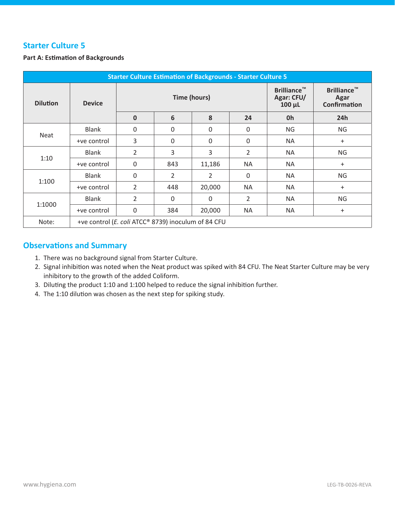#### **Part A: Estimation of Backgrounds**

| <b>Starter Culture Estimation of Backgrounds - Starter Culture 5</b> |                                                     |                |                     |                                                 |                                                   |           |           |  |  |  |
|----------------------------------------------------------------------|-----------------------------------------------------|----------------|---------------------|-------------------------------------------------|---------------------------------------------------|-----------|-----------|--|--|--|
| <b>Dilution</b>                                                      | <b>Device</b>                                       |                | <b>Time (hours)</b> | <b>Brilliance™</b><br>Agar: CFU/<br>$100 \mu L$ | <b>Brilliance™</b><br>Agar<br><b>Confirmation</b> |           |           |  |  |  |
|                                                                      |                                                     | $\mathbf 0$    | 6                   | 8                                               | 24                                                | 0h        | 24h       |  |  |  |
|                                                                      | <b>Blank</b>                                        | $\mathbf{0}$   | $\Omega$            | $\Omega$                                        | 0                                                 | <b>NG</b> | <b>NG</b> |  |  |  |
| <b>Neat</b>                                                          | +ve control                                         | 3              | 0                   | 0                                               | $\mathbf 0$                                       | <b>NA</b> | $\ddot{}$ |  |  |  |
| 1:10                                                                 | <b>Blank</b>                                        | 2              | 3                   | 3                                               | $\overline{2}$                                    | <b>NA</b> | <b>NG</b> |  |  |  |
|                                                                      | +ve control                                         | $\Omega$       | 843                 | 11,186                                          | <b>NA</b>                                         | <b>NA</b> | $\ddot{}$ |  |  |  |
| 1:100                                                                | <b>Blank</b>                                        | $\Omega$       | $\overline{2}$      | $\overline{2}$                                  | 0                                                 | <b>NA</b> | <b>NG</b> |  |  |  |
|                                                                      | +ve control                                         | $\overline{2}$ | 448                 | 20,000                                          | <b>NA</b>                                         | <b>NA</b> | $\ddot{}$ |  |  |  |
|                                                                      | <b>Blank</b>                                        | 2              | $\Omega$            | 0                                               | $\overline{2}$                                    | <b>NA</b> | <b>NG</b> |  |  |  |
| 1:1000                                                               | +ve control                                         | 0              | 384                 | 20,000                                          | <b>NA</b>                                         | <b>NA</b> | $\ddot{}$ |  |  |  |
| Note:                                                                | +ve control (E. coli ATCC® 8739) inoculum of 84 CFU |                |                     |                                                 |                                                   |           |           |  |  |  |

- 1. There was no background signal from Starter Culture.
- 2. Signal inhibition was noted when the Neat product was spiked with 84 CFU. The Neat Starter Culture may be very inhibitory to the growth of the added Coliform.
- 3. Diluting the product 1:10 and 1:100 helped to reduce the signal inhibition further.
- 4. The 1:10 dilution was chosen as the next step for spiking study.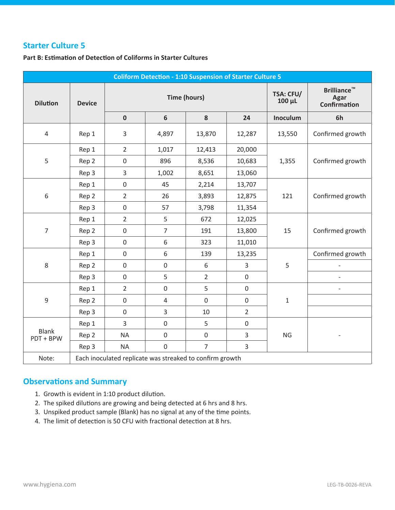#### **Part B: Estimation of Detection of Coliforms in Starter Cultures**

|                           |               |                                                          | <b>Coliform Detection - 1:10 Suspension of Starter Culture 5</b> |                                 |                                                          |              |                  |
|---------------------------|---------------|----------------------------------------------------------|------------------------------------------------------------------|---------------------------------|----------------------------------------------------------|--------------|------------------|
| <b>Dilution</b>           | <b>Device</b> |                                                          | <b>Time (hours)</b>                                              | <b>TSA: CFU/</b><br>$100 \mu L$ | <b>Brilliance™</b><br><b>Agar</b><br><b>Confirmation</b> |              |                  |
|                           |               | $\pmb{0}$                                                | $\boldsymbol{6}$                                                 | 8                               | 24                                                       | Inoculum     | 6h               |
| $\sqrt{4}$                | Rep 1         | 3                                                        | 4,897                                                            | 13,870                          | 12,287                                                   | 13,550       | Confirmed growth |
|                           | Rep 1         | $\overline{2}$                                           | 1,017                                                            | 12,413                          | 20,000                                                   |              |                  |
| 5                         | Rep 2         | $\boldsymbol{0}$                                         | 896                                                              | 8,536                           | 10,683                                                   | 1,355        | Confirmed growth |
|                           | Rep 3         | 3                                                        | 1,002                                                            | 8,651                           | 13,060                                                   |              |                  |
|                           | Rep 1         | $\boldsymbol{0}$                                         | 45                                                               | 2,214                           | 13,707                                                   |              |                  |
| 6                         | Rep 2         | $\overline{2}$                                           | 26                                                               | 3,893                           | 12,875                                                   | 121          | Confirmed growth |
|                           | Rep 3         | $\boldsymbol{0}$                                         | 57                                                               | 3,798                           | 11,354                                                   |              |                  |
|                           | Rep 1         | $\overline{2}$                                           | 5                                                                | 672                             | 12,025                                                   | 15           |                  |
| $\overline{7}$            | Rep 2         | $\boldsymbol{0}$                                         | $\overline{7}$                                                   | 191                             | 13,800                                                   |              | Confirmed growth |
|                           | Rep 3         | $\boldsymbol{0}$                                         | $\,6\,$                                                          | 323                             | 11,010                                                   |              |                  |
|                           | Rep 1         | $\boldsymbol{0}$                                         | $\sqrt{6}$                                                       | 139                             | 13,235                                                   |              | Confirmed growth |
| 8                         | Rep 2         | $\boldsymbol{0}$                                         | $\boldsymbol{0}$                                                 | 6                               | 3                                                        | 5            |                  |
|                           | Rep 3         | $\boldsymbol{0}$                                         | 5                                                                | $\overline{2}$                  | $\boldsymbol{0}$                                         |              |                  |
|                           | Rep 1         | $\overline{2}$                                           | $\boldsymbol{0}$                                                 | 5                               | $\boldsymbol{0}$                                         |              |                  |
| 9                         | Rep 2         | $\mathbf 0$                                              | $\overline{4}$                                                   | $\mathbf 0$                     | $\boldsymbol{0}$                                         | $\mathbf{1}$ |                  |
|                           | Rep 3         | $\boldsymbol{0}$                                         | 3                                                                | $10\,$                          | $\overline{2}$                                           |              |                  |
|                           | Rep 1         | 3                                                        | $\boldsymbol{0}$                                                 | 5                               | $\boldsymbol{0}$                                         |              |                  |
| <b>Blank</b><br>PDT + BPW | Rep 2         | <b>NA</b>                                                | $\boldsymbol{0}$                                                 | $\boldsymbol{0}$                | 3                                                        | <b>NG</b>    |                  |
|                           | Rep 3         | <b>NA</b>                                                | $\boldsymbol{0}$                                                 | $\overline{7}$                  | 3                                                        |              |                  |
| Note:                     |               | Each inoculated replicate was streaked to confirm growth |                                                                  |                                 |                                                          |              |                  |

- 1. Growth is evident in 1:10 product dilution.
- 2. The spiked dilutions are growing and being detected at 6 hrs and 8 hrs.
- 3. Unspiked product sample (Blank) has no signal at any of the time points.
- 4. The limit of detection is 50 CFU with fractional detection at 8 hrs.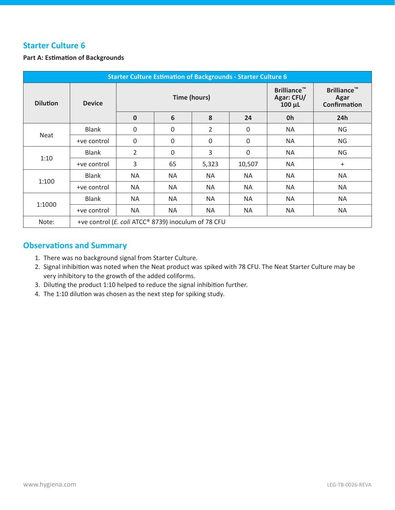#### **Part A: Estimation of Backgrounds**

| <b>Starter Culture Estimation of Backgrounds - Starter Culture 6</b> |                                                     |                     |             |                                                 |                                                   |           |           |  |  |
|----------------------------------------------------------------------|-----------------------------------------------------|---------------------|-------------|-------------------------------------------------|---------------------------------------------------|-----------|-----------|--|--|
| <b>Dilution</b>                                                      | <b>Device</b>                                       | <b>Time (hours)</b> |             | <b>Brilliance™</b><br>Agar: CFU/<br>$100 \mu L$ | <b>Brilliance™</b><br>Agar<br><b>Confirmation</b> |           |           |  |  |
|                                                                      |                                                     | $\mathbf 0$         | 6           | 8                                               | 24                                                | 0h        | 24h       |  |  |
|                                                                      | <b>Blank</b>                                        | $\mathbf 0$         | $\mathbf 0$ | $\overline{2}$                                  | $\mathbf 0$                                       | <b>NA</b> | <b>NG</b> |  |  |
| <b>Neat</b>                                                          | +ve control                                         | $\mathbf 0$         | $\mathbf 0$ | 0                                               | $\mathbf 0$                                       | <b>NA</b> | <b>NG</b> |  |  |
| 1:10                                                                 | <b>Blank</b>                                        | $\overline{2}$      | 0           | 3                                               | $\boldsymbol{0}$                                  | <b>NA</b> | <b>NG</b> |  |  |
|                                                                      | +ve control                                         | 3                   | 65          | 5,323                                           | 10,507                                            | <b>NA</b> | $\ddot{}$ |  |  |
| 1:100                                                                | <b>Blank</b>                                        | <b>NA</b>           | NA          | <b>NA</b>                                       | <b>NA</b>                                         | <b>NA</b> | <b>NA</b> |  |  |
|                                                                      | +ve control                                         | <b>NA</b>           | <b>NA</b>   | <b>NA</b>                                       | <b>NA</b>                                         | <b>NA</b> | <b>NA</b> |  |  |
|                                                                      | <b>Blank</b>                                        | <b>NA</b>           | <b>NA</b>   | <b>NA</b>                                       | <b>NA</b>                                         | <b>NA</b> | <b>NA</b> |  |  |
| 1:1000                                                               | +ve control                                         | <b>NA</b>           | <b>NA</b>   | <b>NA</b>                                       | <b>NA</b>                                         | <b>NA</b> | <b>NA</b> |  |  |
| Note:                                                                | +ve control (E. coli ATCC® 8739) inoculum of 78 CFU |                     |             |                                                 |                                                   |           |           |  |  |

- 1. There was no background signal from Starter Culture.
- 2. Signal inhibition was noted when the Neat product was spiked with 78 CFU. The Neat Starter Culture may be very inhibitory to the growth of the added coliforms.
- 3. Diluting the product 1:10 helped to reduce the signal inhibition further.
- 4. The 1:10 dilution was chosen as the next step for spiking study.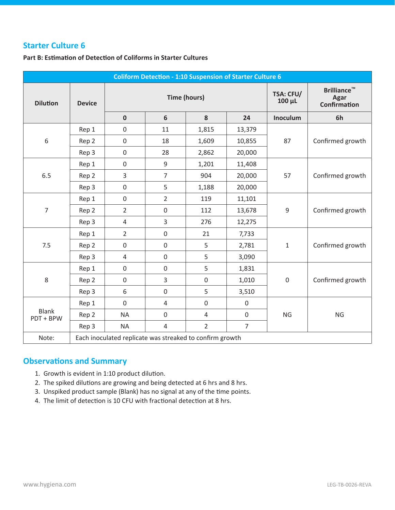#### **Part B: Estimation of Detection of Coliforms in Starter Cultures**

| <b>Coliform Detection - 1:10 Suspension of Starter Culture 6</b> |               |                                                          |                     |                                 |                                                          |                  |                  |  |  |
|------------------------------------------------------------------|---------------|----------------------------------------------------------|---------------------|---------------------------------|----------------------------------------------------------|------------------|------------------|--|--|
| <b>Dilution</b>                                                  | <b>Device</b> |                                                          | <b>Time (hours)</b> | <b>TSA: CFU/</b><br>$100 \mu L$ | <b>Brilliance™</b><br><b>Agar</b><br><b>Confirmation</b> |                  |                  |  |  |
|                                                                  |               | $\mathbf 0$                                              | 6                   | 8                               | 24                                                       | Inoculum         | 6h               |  |  |
|                                                                  | Rep 1         | $\mathbf 0$                                              | 11                  | 1,815                           | 13,379                                                   |                  |                  |  |  |
| 6                                                                | Rep 2         | $\boldsymbol{0}$                                         | 18                  | 1,609                           | 10,855                                                   | 87               | Confirmed growth |  |  |
|                                                                  | Rep 3         | $\boldsymbol{0}$                                         | 28                  | 2,862                           | 20,000                                                   |                  |                  |  |  |
|                                                                  | Rep 1         | $\boldsymbol{0}$                                         | 9                   | 1,201                           | 11,408                                                   |                  | Confirmed growth |  |  |
| 6.5                                                              | Rep 2         | $\overline{3}$                                           | $\overline{7}$      | 904                             | 20,000                                                   | 57               |                  |  |  |
|                                                                  | Rep 3         | $\boldsymbol{0}$                                         | 5                   | 1,188                           | 20,000                                                   |                  |                  |  |  |
|                                                                  | Rep 1         | $\boldsymbol{0}$                                         | $\overline{2}$      | 119                             | 11,101                                                   | $\boldsymbol{9}$ | Confirmed growth |  |  |
| 7                                                                | Rep 2         | $\overline{2}$                                           | $\mathbf 0$         | 112                             | 13,678                                                   |                  |                  |  |  |
|                                                                  | Rep 3         | $\overline{4}$                                           | 3                   | 276                             | 12,275                                                   |                  |                  |  |  |
|                                                                  | Rep 1         | $\overline{2}$                                           | $\mathbf 0$         | 21                              | 7,733                                                    |                  | Confirmed growth |  |  |
| 7.5                                                              | Rep 2         | $\boldsymbol{0}$                                         | $\boldsymbol{0}$    | 5                               | 2,781                                                    | $\mathbf{1}$     |                  |  |  |
|                                                                  | Rep 3         | 4                                                        | $\mathbf 0$         | 5                               | 3,090                                                    |                  |                  |  |  |
|                                                                  | Rep 1         | $\boldsymbol{0}$                                         | $\overline{0}$      | 5                               | 1,831                                                    |                  |                  |  |  |
| 8                                                                | Rep 2         | $\boldsymbol{0}$                                         | 3                   | $\mathbf 0$                     | 1,010                                                    | $\mathbf 0$      | Confirmed growth |  |  |
|                                                                  | Rep 3         | 6                                                        | $\mathbf 0$         | 5                               | 3,510                                                    |                  |                  |  |  |
|                                                                  | Rep 1         | $\mathbf 0$                                              | $\overline{4}$      | $\mathbf 0$                     | $\boldsymbol{0}$                                         |                  |                  |  |  |
| <b>Blank</b><br>PDT + BPW                                        | Rep 2         | <b>NA</b>                                                | $\mathbf 0$         | $\overline{4}$                  | $\boldsymbol{0}$                                         | <b>NG</b>        | <b>NG</b>        |  |  |
|                                                                  | Rep 3         | <b>NA</b>                                                | $\overline{4}$      | $\overline{2}$                  | $\overline{7}$                                           |                  |                  |  |  |
| Note:                                                            |               | Each inoculated replicate was streaked to confirm growth |                     |                                 |                                                          |                  |                  |  |  |

- 1. Growth is evident in 1:10 product dilution.
- 2. The spiked dilutions are growing and being detected at 6 hrs and 8 hrs.
- 3. Unspiked product sample (Blank) has no signal at any of the time points.
- 4. The limit of detection is 10 CFU with fractional detection at 8 hrs.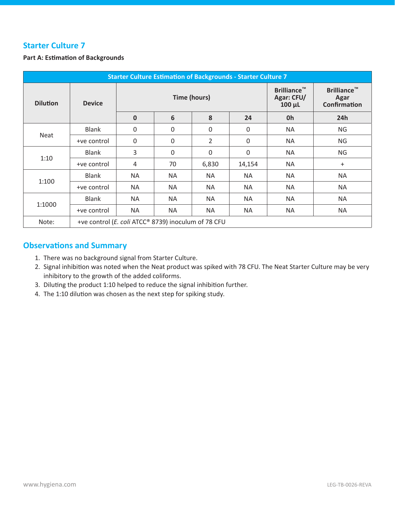#### **Part A: Estimation of Backgrounds**

| <b>Starter Culture Estimation of Backgrounds - Starter Culture 7</b> |                                                     |              |           |                     |           |                                                 |                                                   |  |  |
|----------------------------------------------------------------------|-----------------------------------------------------|--------------|-----------|---------------------|-----------|-------------------------------------------------|---------------------------------------------------|--|--|
| <b>Dilution</b>                                                      | <b>Device</b>                                       |              |           | <b>Time (hours)</b> |           | <b>Brilliance™</b><br>Agar: CFU/<br>$100 \mu L$ | <b>Brilliance™</b><br>Agar<br><b>Confirmation</b> |  |  |
|                                                                      |                                                     | $\mathbf{0}$ | 6         | 8                   | 24        | 0h                                              | 24h                                               |  |  |
|                                                                      | <b>Blank</b>                                        | $\mathbf 0$  | $\Omega$  | $\Omega$            | 0         | <b>NA</b>                                       | <b>NG</b>                                         |  |  |
| Neat                                                                 | +ve control                                         | 0            | 0         | 2                   | 0         | <b>NA</b>                                       | <b>NG</b>                                         |  |  |
|                                                                      | <b>Blank</b>                                        | 3            | 0         | 0                   | 0         | <b>NA</b>                                       | <b>NG</b>                                         |  |  |
| 1:10                                                                 | +ve control                                         | 4            | 70        | 6,830               | 14,154    | <b>NA</b>                                       | $\ddot{}$                                         |  |  |
| 1:100                                                                | <b>Blank</b>                                        | <b>NA</b>    | <b>NA</b> | <b>NA</b>           | <b>NA</b> | <b>NA</b>                                       | <b>NA</b>                                         |  |  |
|                                                                      | +ve control                                         | <b>NA</b>    | <b>NA</b> | <b>NA</b>           | <b>NA</b> | <b>NA</b>                                       | <b>NA</b>                                         |  |  |
|                                                                      | <b>Blank</b>                                        | <b>NA</b>    | <b>NA</b> | <b>NA</b>           | <b>NA</b> | <b>NA</b>                                       | <b>NA</b>                                         |  |  |
| 1:1000                                                               | +ve control                                         | <b>NA</b>    | <b>NA</b> | <b>NA</b>           | <b>NA</b> | <b>NA</b>                                       | NA                                                |  |  |
| Note:                                                                | +ve control (E. coli ATCC® 8739) inoculum of 78 CFU |              |           |                     |           |                                                 |                                                   |  |  |

- 1. There was no background signal from Starter Culture.
- 2. Signal inhibition was noted when the Neat product was spiked with 78 CFU. The Neat Starter Culture may be very inhibitory to the growth of the added coliforms.
- 3. Diluting the product 1:10 helped to reduce the signal inhibition further.
- 4. The 1:10 dilution was chosen as the next step for spiking study.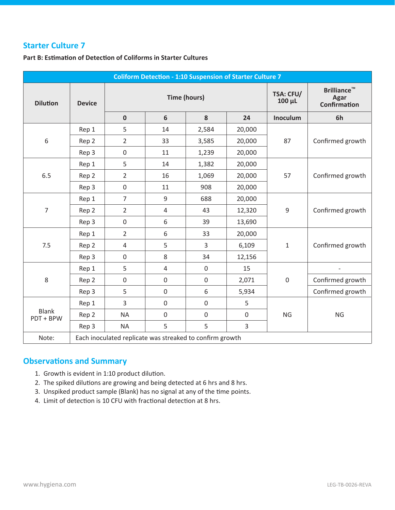**Part B: Estimation of Detection of Coliforms in Starter Cultures** 

| <b>Coliform Detection - 1:10 Suspension of Starter Culture 7</b> |               |                                                          |                     |                            |                                            |              |                  |  |  |  |
|------------------------------------------------------------------|---------------|----------------------------------------------------------|---------------------|----------------------------|--------------------------------------------|--------------|------------------|--|--|--|
| <b>Dilution</b>                                                  | <b>Device</b> |                                                          | <b>Time (hours)</b> | <b>TSA: CFU/</b><br>100 µL | <b>Brilliance™</b><br>Agar<br>Confirmation |              |                  |  |  |  |
|                                                                  |               | $\mathbf 0$                                              | 6                   | 8                          | 24                                         | Inoculum     | 6h               |  |  |  |
|                                                                  | Rep 1         | 5                                                        | 14                  | 2,584                      | 20,000                                     |              |                  |  |  |  |
| 6                                                                | Rep 2         | $\overline{2}$                                           | 33                  | 3,585                      | 20,000                                     | 87           | Confirmed growth |  |  |  |
|                                                                  | Rep 3         | $\boldsymbol{0}$                                         | 11                  | 1,239                      | 20,000                                     |              |                  |  |  |  |
|                                                                  | Rep 1         | 5                                                        | 14                  | 1,382                      | 20,000                                     |              |                  |  |  |  |
| 6.5                                                              | Rep 2         | $\overline{2}$                                           | 16                  | 1,069                      | 20,000                                     | 57           | Confirmed growth |  |  |  |
|                                                                  | Rep 3         | $\boldsymbol{0}$                                         | 11                  | 908                        | 20,000                                     |              |                  |  |  |  |
|                                                                  | Rep 1         | $\overline{7}$                                           | 9                   | 688                        | 20,000                                     | 9            | Confirmed growth |  |  |  |
| $\overline{7}$                                                   | Rep 2         | $\overline{2}$                                           | $\overline{4}$      | 43                         | 12,320                                     |              |                  |  |  |  |
|                                                                  | Rep 3         | $\mathbf 0$                                              | 6                   | 39                         | 13,690                                     |              |                  |  |  |  |
|                                                                  | Rep 1         | $\overline{2}$                                           | 6                   | 33                         | 20,000                                     |              | Confirmed growth |  |  |  |
| 7.5                                                              | Rep 2         | $\overline{4}$                                           | 5                   | 3                          | 6,109                                      | $\mathbf{1}$ |                  |  |  |  |
|                                                                  | Rep 3         | $\boldsymbol{0}$                                         | 8                   | 34                         | 12,156                                     |              |                  |  |  |  |
|                                                                  | Rep 1         | 5                                                        | $\overline{4}$      | $\mathbf 0$                | 15                                         |              |                  |  |  |  |
| $\,8$                                                            | Rep 2         | $\mathbf 0$                                              | $\boldsymbol{0}$    | $\boldsymbol{0}$           | 2,071                                      | $\mathbf 0$  | Confirmed growth |  |  |  |
|                                                                  | Rep 3         | 5                                                        | $\mathbf 0$         | 6                          | 5,934                                      |              | Confirmed growth |  |  |  |
|                                                                  | Rep 1         | 3                                                        | $\boldsymbol{0}$    | $\boldsymbol{0}$           | 5                                          |              |                  |  |  |  |
| <b>Blank</b><br>PDT + BPW                                        | Rep 2         | <b>NA</b>                                                | $\boldsymbol{0}$    | $\mathbf 0$                | $\boldsymbol{0}$                           | <b>NG</b>    | <b>NG</b>        |  |  |  |
|                                                                  | Rep 3         | <b>NA</b>                                                | 5                   | 5                          | 3                                          |              |                  |  |  |  |
| Note:                                                            |               | Each inoculated replicate was streaked to confirm growth |                     |                            |                                            |              |                  |  |  |  |

- 1. Growth is evident in 1:10 product dilution.
- 2. The spiked dilutions are growing and being detected at 6 hrs and 8 hrs.
- 3. Unspiked product sample (Blank) has no signal at any of the time points.
- 4. Limit of detection is 10 CFU with fractional detection at 8 hrs.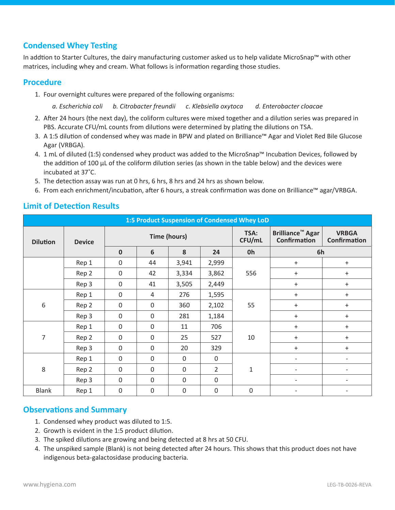## **Condensed Whey Testing**

In addtion to Starter Cultures, the dairy manufacturing customer asked us to help validate MicroSnap™ with other matrices, including whey and cream. What follows is information regarding those studies.

#### **Procedure**

1. Four overnight cultures were prepared of the following organisms:

*a. Escherichia coli b. Citrobacter freundii c. Klebsiella oxytoca d. Enterobacter cloacae*

- 2. After 24 hours (the next day), the coliform cultures were mixed together and a dilution series was prepared in PBS. Accurate CFU/mL counts from dilutions were determined by plating the dilutions on TSA.
- 3. A 1:5 dilution of condensed whey was made in BPW and plated on Brilliance™ Agar and Violet Red Bile Glucose Agar (VRBGA).
- 4. 1 mL of diluted (1:5) condensed whey product was added to the MicroSnap™ Incubation Devices, followed by the addition of 100 µL of the coliform dilution series (as shown in the table below) and the devices were incubated at 37˚C.
- 5. The detection assay was run at 0 hrs, 6 hrs, 8 hrs and 24 hrs as shown below.
- 6. From each enrichment/incubation, after 6 hours, a streak confirmation was done on Brilliance™ agar/VRBGA.

| 1:5 Product Suspension of Condensed Whey LoD |               |                     |              |             |                |                |                                                           |                                     |  |  |
|----------------------------------------------|---------------|---------------------|--------------|-------------|----------------|----------------|-----------------------------------------------------------|-------------------------------------|--|--|
| <b>Dilution</b>                              | <b>Device</b> | <b>Time (hours)</b> |              |             |                | TSA:<br>CFU/mL | <b>Brilliance<sup>™</sup> Agar</b><br><b>Confirmation</b> | <b>VRBGA</b><br><b>Confirmation</b> |  |  |
|                                              |               | $\mathbf 0$         | 6            | 8           | 24             | 0h             | 6h                                                        |                                     |  |  |
|                                              | Rep 1         | $\mathbf 0$         | 44           | 3,941       | 2,999          |                | $+$                                                       | $\ddot{}$                           |  |  |
|                                              | Rep 2         | $\mathbf 0$         | 42           | 3,334       | 3,862          | 556            | $\ddot{}$                                                 | $\ddot{}$                           |  |  |
|                                              | Rep 3         | $\mathbf 0$         | 41           | 3,505       | 2,449          |                | $+$                                                       | $\ddot{}$                           |  |  |
|                                              | Rep 1         | $\mathbf 0$         | 4            | 276         | 1,595          | 55             | $\ddot{}$                                                 | $\ddot{}$                           |  |  |
| $\,6\,$                                      | Rep 2         | $\mathbf 0$         | $\mathbf 0$  | 360         | 2,102          |                | $+$                                                       | $+$                                 |  |  |
|                                              | Rep 3         | $\mathbf 0$         | 0            | 281         | 1,184          |                | $\ddot{}$                                                 | $\ddot{}$                           |  |  |
|                                              | Rep 1         | $\mathbf 0$         | $\Omega$     | 11          | 706            |                | $\ddot{}$                                                 | $\ddot{}$                           |  |  |
| $\overline{7}$                               | Rep 2         | $\mathbf 0$         | $\mathbf 0$  | 25          | 527            | 10             | $\ddot{}$                                                 | $\ddot{}$                           |  |  |
|                                              | Rep 3         | $\mathbf 0$         | 0            | 20          | 329            |                | $\ddot{}$                                                 | $\ddot{}$                           |  |  |
|                                              | Rep 1         | $\mathbf 0$         | 0            | $\mathbf 0$ | $\mathbf 0$    | $\mathbf{1}$   | $\overline{\phantom{a}}$                                  | $\overline{\phantom{0}}$            |  |  |
| 8                                            | Rep 2         | $\mathbf 0$         | $\mathbf{0}$ | $\mathbf 0$ | $\overline{2}$ |                | $\overline{\phantom{a}}$                                  | $\overline{\phantom{0}}$            |  |  |
|                                              | Rep 3         | $\mathbf 0$         | $\mathbf{0}$ | $\mathbf 0$ | $\mathbf 0$    |                | $\overline{\phantom{a}}$                                  | $\overline{\phantom{0}}$            |  |  |
| <b>Blank</b>                                 | Rep 1         | $\mathbf 0$         | $\mathbf 0$  | $\mathbf 0$ | $\mathbf 0$    | $\overline{0}$ |                                                           |                                     |  |  |

## **Limit of Detection Results**

- 1. Condensed whey product was diluted to 1:5.
- 2. Growth is evident in the 1:5 product dilution.
- 3. The spiked dilutions are growing and being detected at 8 hrs at 50 CFU.
- 4. The unspiked sample (Blank) is not being detected after 24 hours. This shows that this product does not have indigenous beta-galactosidase producing bacteria.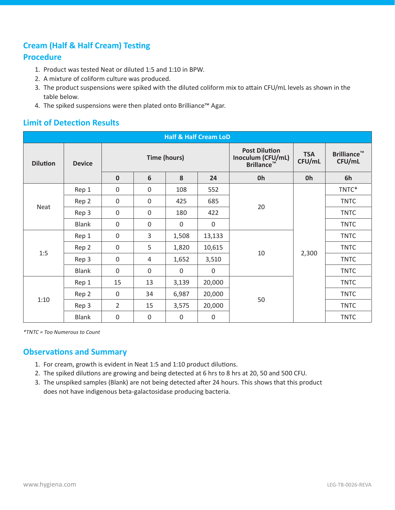## **Cream (Half & Half Cream) Testing**

## **Procedure**

- 1. Product was tested Neat or diluted 1:5 and 1:10 in BPW.
- 2. A mixture of coliform culture was produced.
- 3. The product suspensions were spiked with the diluted coliform mix to attain CFU/mL levels as shown in the table below.
- 4. The spiked suspensions were then plated onto Brilliance™ Agar.

## **Limit of Detection Results**

| <b>Half &amp; Half Cream LoD</b> |               |                     |              |             |                                                                |                      |                              |             |  |  |
|----------------------------------|---------------|---------------------|--------------|-------------|----------------------------------------------------------------|----------------------|------------------------------|-------------|--|--|
| <b>Dilution</b>                  | <b>Device</b> | <b>Time (hours)</b> |              |             | <b>Post Dilution</b><br>Inoculum (CFU/mL)<br><b>Brillance™</b> | <b>TSA</b><br>CFU/mL | <b>Brilliance™</b><br>CFU/mL |             |  |  |
|                                  |               | $\mathbf 0$         | 6            | 8           | 24                                                             | 0h                   | 0h                           | 6h          |  |  |
|                                  | Rep 1         | $\mathbf 0$         | $\mathbf 0$  | 108         | 552                                                            |                      |                              | TNTC*       |  |  |
|                                  | Rep 2         | $\boldsymbol{0}$    | $\mathbf 0$  | 425         | 685                                                            |                      | 2,300                        | <b>TNTC</b> |  |  |
| Neat                             | Rep 3         | $\mathbf 0$         | $\mathbf{0}$ | 180         | 422                                                            | 20                   |                              | <b>TNTC</b> |  |  |
|                                  | <b>Blank</b>  | 0                   | $\mathbf 0$  | $\mathbf 0$ | $\mathbf 0$                                                    |                      |                              | <b>TNTC</b> |  |  |
|                                  | Rep 1         | $\mathbf 0$         | 3            | 1,508       | 13,133                                                         |                      |                              | <b>TNTC</b> |  |  |
|                                  | Rep 2         | $\boldsymbol{0}$    | 5            | 1,820       | 10,615                                                         |                      |                              | <b>TNTC</b> |  |  |
| 1:5                              | Rep 3         | $\mathbf 0$         | 4            | 1,652       | 3,510                                                          | 10                   |                              | <b>TNTC</b> |  |  |
|                                  | <b>Blank</b>  | 0                   | $\mathbf{0}$ | $\Omega$    | $\mathbf 0$                                                    |                      |                              | <b>TNTC</b> |  |  |
|                                  | Rep 1         | 15                  | 13           | 3,139       | 20,000                                                         |                      |                              | <b>TNTC</b> |  |  |
|                                  | Rep 2         | $\boldsymbol{0}$    | 34           | 6,987       | 20,000                                                         |                      |                              | <b>TNTC</b> |  |  |
| 1:10                             | Rep 3         | $\overline{2}$      | 15           | 3,575       | 20,000                                                         | 50                   |                              | <b>TNTC</b> |  |  |
|                                  | <b>Blank</b>  | $\boldsymbol{0}$    | 0            | $\mathbf 0$ | $\mathbf 0$                                                    |                      |                              | <b>TNTC</b> |  |  |

*\*TNTC = Too Numerous to Count*

- 1. For cream, growth is evident in Neat 1:5 and 1:10 product dilutions.
- 2. The spiked dilutions are growing and being detected at 6 hrs to 8 hrs at 20, 50 and 500 CFU.
- 3. The unspiked samples (Blank) are not being detected after 24 hours. This shows that this product does not have indigenous beta-galactosidase producing bacteria.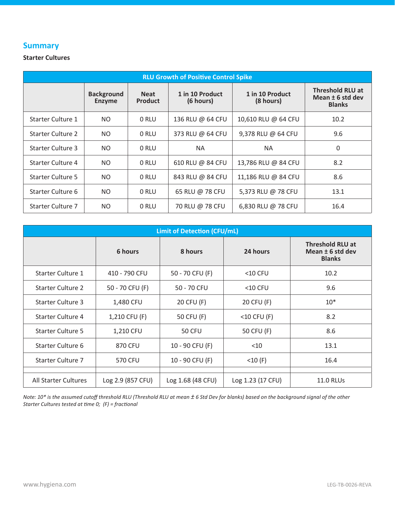### **Summary**

#### **Starter Cultures**

| <b>RLU Growth of Positive Control Spike</b> |                                    |                               |                              |                              |                                                              |  |  |  |  |
|---------------------------------------------|------------------------------------|-------------------------------|------------------------------|------------------------------|--------------------------------------------------------------|--|--|--|--|
|                                             | <b>Background</b><br><b>Enzyme</b> | <b>Neat</b><br><b>Product</b> | 1 in 10 Product<br>(6 hours) | 1 in 10 Product<br>(8 hours) | <b>Threshold RLU at</b><br>Mean ± 6 std dev<br><b>Blanks</b> |  |  |  |  |
| Starter Culture 1                           | NO.                                | 0 RLU                         | 136 RLU @ 64 CFU             | 10,610 RLU @ 64 CFU          | 10.2                                                         |  |  |  |  |
| <b>Starter Culture 2</b>                    | NO.                                | 0 RLU                         | 373 RLU @ 64 CFU             | 9,378 RLU @ 64 CFU           | 9.6                                                          |  |  |  |  |
| Starter Culture 3                           | NO.                                | 0 RLU                         | <b>NA</b>                    | <b>NA</b>                    | 0                                                            |  |  |  |  |
| Starter Culture 4                           | NO.                                | 0 RLU                         | 610 RLU @ 84 CFU             | 13,786 RLU @ 84 CFU          | 8.2                                                          |  |  |  |  |
| <b>Starter Culture 5</b>                    | NO.                                | 0 RLU                         | 843 RLU @ 84 CFU             | 11,186 RLU @ 84 CFU          | 8.6                                                          |  |  |  |  |
| Starter Culture 6                           | NO.                                | 0 RLU                         | 65 RLU @ 78 CFU              | 5,373 RLU @ 78 CFU           | 13.1                                                         |  |  |  |  |
| Starter Culture 7                           | NO.                                | 0 RLU                         | 70 RLU @ 78 CFU              | 6,830 RLU @ 78 CFU           | 16.4                                                         |  |  |  |  |

| <b>Limit of Detection (CFU/mL)</b> |                   |                   |                   |                                                                |  |  |  |  |  |
|------------------------------------|-------------------|-------------------|-------------------|----------------------------------------------------------------|--|--|--|--|--|
|                                    | 6 hours           | 8 hours           | 24 hours          | <b>Threshold RLU at</b><br>Mean $±$ 6 std dev<br><b>Blanks</b> |  |  |  |  |  |
| <b>Starter Culture 1</b>           | 410 - 790 CFU     | 50 - 70 CFU (F)   | $<$ 10 CFU        | 10.2                                                           |  |  |  |  |  |
| <b>Starter Culture 2</b>           | 50 - 70 CFU (F)   | 50 - 70 CFU       | $<$ 10 CFU        | 9.6                                                            |  |  |  |  |  |
| <b>Starter Culture 3</b>           | 1,480 CFU         | 20 CFU (F)        | 20 CFU (F)        | $10*$                                                          |  |  |  |  |  |
| Starter Culture 4                  | 1,210 CFU (F)     | 50 CFU (F)        | $<$ 10 CFU (F)    | 8.2                                                            |  |  |  |  |  |
| <b>Starter Culture 5</b>           | 1,210 CFU         | <b>50 CFU</b>     | 50 CFU (F)        | 8.6                                                            |  |  |  |  |  |
| Starter Culture 6                  | 870 CFU           | 10 - 90 CFU (F)   | $<$ 10            | 13.1                                                           |  |  |  |  |  |
| <b>Starter Culture 7</b>           | 570 CFU           | 10 - 90 CFU (F)   | $<$ 10 $(F)$      | 16.4                                                           |  |  |  |  |  |
| All Starter Cultures               | Log 2.9 (857 CFU) | Log 1.68 (48 CFU) | Log 1.23 (17 CFU) | <b>11.0 RLUs</b>                                               |  |  |  |  |  |

*Note: 10\* is the assumed cutoff threshold RLU (Threshold RLU at mean ± 6 Std Dev for blanks) based on the background signal of the other Starter Cultures tested at time 0; (F) = fractional*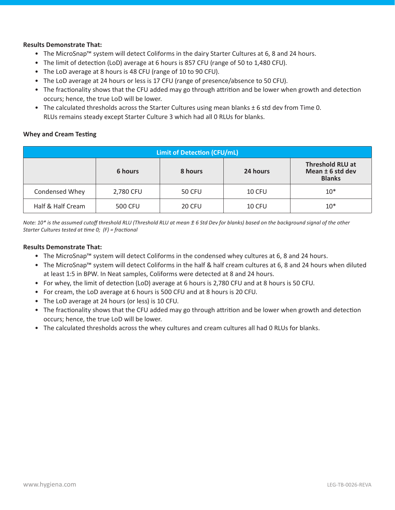#### **Results Demonstrate That:**

- The MicroSnap™ system will detect Coliforms in the dairy Starter Cultures at 6, 8 and 24 hours.
- The limit of detection (LoD) average at 6 hours is 857 CFU (range of 50 to 1,480 CFU).
- The LoD average at 8 hours is 48 CFU (range of 10 to 90 CFU).
- The LoD average at 24 hours or less is 17 CFU (range of presence/absence to 50 CFU).
- The fractionality shows that the CFU added may go through attrition and be lower when growth and detection occurs; hence, the true LoD will be lower.
- The calculated thresholds across the Starter Cultures using mean blanks ± 6 std dev from Time 0. RLUs remains steady except Starter Culture 3 which had all 0 RLUs for blanks.

#### **Whey and Cream Testing**

| <b>Limit of Detection (CFU/mL)</b>                                                               |                |               |        |       |  |  |  |  |  |
|--------------------------------------------------------------------------------------------------|----------------|---------------|--------|-------|--|--|--|--|--|
| <b>Threshold RLU at</b><br>Mean $±$ 6 std dev<br>6 hours<br>8 hours<br>24 hours<br><b>Blanks</b> |                |               |        |       |  |  |  |  |  |
| Condensed Whey                                                                                   | 2,780 CFU      | <b>50 CFU</b> | 10 CFU | $10*$ |  |  |  |  |  |
| Half & Half Cream                                                                                | <b>500 CFU</b> | 20 CFU        | 10 CFU | $10*$ |  |  |  |  |  |

*Note: 10\* is the assumed cutoff threshold RLU (Threshold RLU at mean*  $\pm$  *6 Std Dev for blanks) based on the background signal of the other Starter Cultures tested at time 0; (F) = fractional*

#### **Results Demonstrate That:**

- The MicroSnap™ system will detect Coliforms in the condensed whey cultures at 6, 8 and 24 hours.
- The MicroSnap™ system will detect Coliforms in the half & half cream cultures at 6, 8 and 24 hours when diluted at least 1:5 in BPW. In Neat samples, Coliforms were detected at 8 and 24 hours.
- For whey, the limit of detection (LoD) average at 6 hours is 2,780 CFU and at 8 hours is 50 CFU.
- For cream, the LoD average at 6 hours is 500 CFU and at 8 hours is 20 CFU.
- The LoD average at 24 hours (or less) is 10 CFU.
- The fractionality shows that the CFU added may go through attrition and be lower when growth and detection occurs; hence, the true LoD will be lower.
- The calculated thresholds across the whey cultures and cream cultures all had 0 RLUs for blanks.